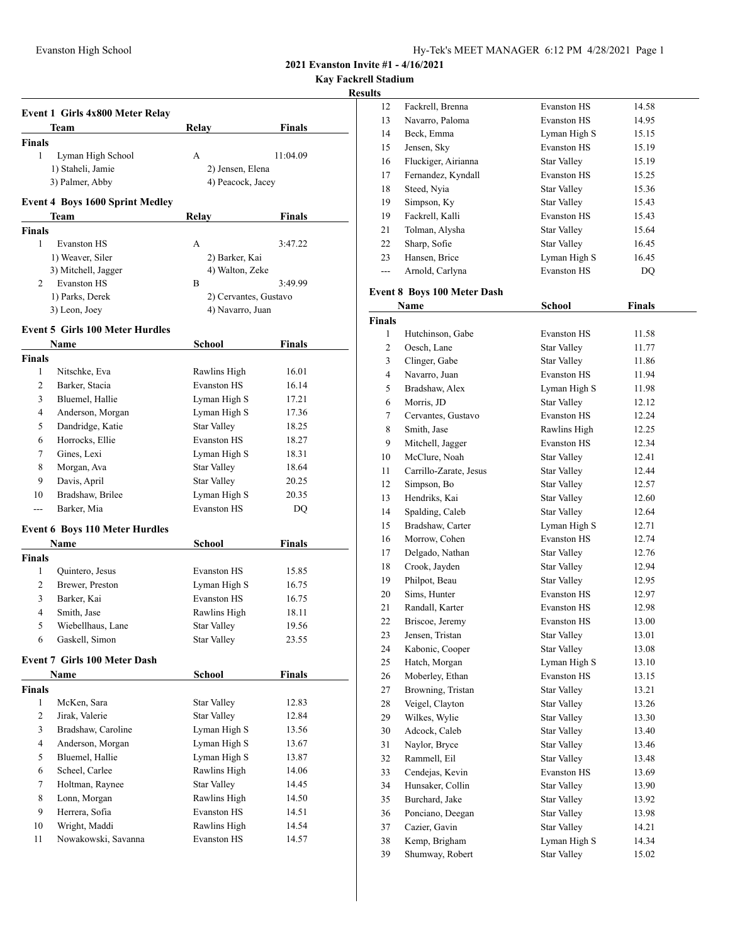**Kay Fackrell Stadium**

## **Results**

|                         | Event 1 Girls 4x800 Meter Relay        |                       |               |
|-------------------------|----------------------------------------|-----------------------|---------------|
|                         | Team                                   | Relay                 | <b>Finals</b> |
| <b>Finals</b>           |                                        |                       |               |
| 1                       | Lyman High School                      | A                     | 11:04.09      |
|                         | 1) Staheli, Jamie                      | 2) Jensen, Elena      |               |
|                         | 3) Palmer, Abby                        | 4) Peacock, Jacey     |               |
|                         | <b>Event 4 Boys 1600 Sprint Medley</b> |                       |               |
|                         | Team                                   | Relay                 | <b>Finals</b> |
| <b>Finals</b>           |                                        |                       |               |
| 1                       | <b>Evanston HS</b>                     | A                     | 3:47.22       |
|                         | 1) Weaver, Siler                       | 2) Barker, Kai        |               |
|                         | 3) Mitchell, Jagger                    | 4) Walton, Zeke       |               |
| 2                       | Evanston HS                            | B                     | 3:49.99       |
|                         | 1) Parks, Derek                        | 2) Cervantes, Gustavo |               |
|                         | 3) Leon, Joey                          | 4) Navarro, Juan      |               |
|                         |                                        |                       |               |
|                         | <b>Event 5 Girls 100 Meter Hurdles</b> | School                |               |
| <b>Finals</b>           | Name                                   |                       | Finals        |
| 1                       | Nitschke, Eva                          | Rawlins High          | 16.01         |
| 2                       | Barker, Stacia                         | <b>Evanston HS</b>    | 16.14         |
| 3                       | Bluemel, Hallie                        | Lyman High S          | 17.21         |
| 4                       | Anderson, Morgan                       | Lyman High S          | 17.36         |
| 5                       | Dandridge, Katie                       | <b>Star Valley</b>    | 18.25         |
|                         | Horrocks, Ellie                        |                       |               |
| 6                       |                                        | <b>Evanston HS</b>    | 18.27         |
| 7                       | Gines, Lexi                            | Lyman High S          | 18.31         |
| 8                       | Morgan, Ava                            | <b>Star Valley</b>    | 18.64         |
| 9                       | Davis, April                           | Star Valley           | 20.25         |
| 10                      | Bradshaw, Brilee                       | Lyman High S          | 20.35         |
| ---                     | Barker, Mia                            | <b>Evanston HS</b>    | DQ            |
|                         | <b>Event 6 Boys 110 Meter Hurdles</b>  |                       |               |
|                         | Name                                   | School                | Finals        |
| <b>Finals</b>           |                                        |                       |               |
| 1                       | Quintero, Jesus                        | <b>Evanston HS</b>    | 15.85         |
| 2                       | Brewer, Preston                        | Lyman High S          | 16.75         |
| 3                       | Barker, Kai                            | <b>Evanston HS</b>    | 16.75         |
| 4                       | Smith, Jase                            | Rawlins High          | 18.11         |
| 5                       | Wiebellhaus, Lane                      | Star Valley           | 19.56         |
| 6                       | Gaskell, Simon                         | <b>Star Valley</b>    | 23.55         |
|                         | <b>Event 7 Girls 100 Meter Dash</b>    |                       |               |
|                         | Name                                   | School                | <b>Finals</b> |
| Finals                  |                                        |                       |               |
| 1                       | McKen, Sara                            | Star Valley           | 12.83         |
| 2                       | Jirak, Valerie                         | <b>Star Valley</b>    | 12.84         |
| 3                       | Bradshaw, Caroline                     | Lyman High S          | 13.56         |
| $\overline{\mathbf{4}}$ | Anderson, Morgan                       | Lyman High S          | 13.67         |
| 5                       | Bluemel, Hallie                        | Lyman High S          | 13.87         |
| 6                       | Scheel, Carlee                         | Rawlins High          | 14.06         |
| 7                       | Holtman, Raynee                        | <b>Star Valley</b>    | 14.45         |
| 8                       | Lonn, Morgan                           | Rawlins High          | 14.50         |
| 9                       | Herrera, Sofia                         | <b>Evanston HS</b>    | 14.51         |
|                         | Wright, Maddi                          | Rawlins High          | 14.54         |
| 10                      |                                        | <b>Evanston HS</b>    | 14.57         |
| 11                      | Nowakowski, Savanna                    |                       |               |

| 12             | Fackrell, Brenna                   | <b>Evanston HS</b> | 14.58         |  |
|----------------|------------------------------------|--------------------|---------------|--|
| 13             | Navarro, Paloma                    | <b>Evanston HS</b> | 14.95         |  |
| 14             | Beck, Emma                         | Lyman High S       | 15.15         |  |
| 15             | Jensen, Sky                        | <b>Evanston HS</b> | 15.19         |  |
| 16             | Fluckiger, Airianna                | <b>Star Valley</b> | 15.19         |  |
| 17             | Fernandez, Kyndall                 | <b>Evanston HS</b> | 15.25         |  |
| 18             | Steed, Nyia                        | <b>Star Valley</b> | 15.36         |  |
| 19             | Simpson, Ky                        | <b>Star Valley</b> | 15.43         |  |
| 19             | Fackrell, Kalli                    | <b>Evanston HS</b> | 15.43         |  |
| 21             | Tolman, Alysha                     | <b>Star Valley</b> | 15.64         |  |
| 22             | Sharp, Sofie                       | Star Valley        | 16.45         |  |
| 23             | Hansen, Brice                      | Lyman High S       | 16.45         |  |
| $---$          | Arnold, Carlyna                    | <b>Evanston HS</b> | DQ            |  |
|                |                                    |                    |               |  |
|                | <b>Event 8 Boys 100 Meter Dash</b> |                    |               |  |
|                | Name                               | School             | <b>Finals</b> |  |
| <b>Finals</b>  |                                    |                    |               |  |
| 1              | Hutchinson, Gabe                   | <b>Evanston HS</b> | 11.58         |  |
| $\mathfrak{2}$ | Oesch, Lane                        | <b>Star Valley</b> | 11.77         |  |
| 3              | Clinger, Gabe                      | Star Valley        | 11.86         |  |
| $\overline{4}$ | Navarro, Juan                      | <b>Evanston HS</b> | 11.94         |  |
| 5              | Bradshaw, Alex                     | Lyman High S       | 11.98         |  |
| 6              | Morris, JD                         | <b>Star Valley</b> | 12.12         |  |
| 7              | Cervantes, Gustavo                 | <b>Evanston HS</b> | 12.24         |  |
| 8              | Smith, Jase                        | Rawlins High       | 12.25         |  |
| 9              | Mitchell, Jagger                   | <b>Evanston HS</b> | 12.34         |  |
| 10             | McClure, Noah                      | <b>Star Valley</b> | 12.41         |  |
| 11             | Carrillo-Zarate, Jesus             | Star Valley        | 12.44         |  |
| 12             | Simpson, Bo                        | Star Valley        | 12.57         |  |
| 13             | Hendriks, Kai                      | <b>Star Valley</b> | 12.60         |  |
| 14             | Spalding, Caleb                    | <b>Star Valley</b> | 12.64         |  |
| 15             | Bradshaw, Carter                   | Lyman High S       | 12.71         |  |
| 16             | Morrow, Cohen                      | <b>Evanston HS</b> | 12.74         |  |
| 17             | Delgado, Nathan                    | <b>Star Valley</b> | 12.76         |  |
| 18             | Crook, Jayden                      | <b>Star Valley</b> | 12.94         |  |
| 19             | Philpot, Beau                      | <b>Star Valley</b> | 12.95         |  |
| 20             | Sims, Hunter                       | <b>Evanston HS</b> | 12.97         |  |
| 21             | Randall, Karter                    | <b>Evanston HS</b> | 12.98         |  |
| 22             | Briscoe, Jeremy                    | <b>Evanston HS</b> | 13.00         |  |
| 23             | Jensen, Tristan                    | Star Valley        | 13.01         |  |
| 24             | Kabonic, Cooper                    | <b>Star Valley</b> | 13.08         |  |
| 25             | Hatch, Morgan                      | Lyman High S       | 13.10         |  |
| 26             | Moberley, Ethan                    | Evanston HS        | 13.15         |  |
| 27             | Browning, Tristan                  | <b>Star Valley</b> | 13.21         |  |
| 28             | Veigel, Clayton                    | <b>Star Valley</b> | 13.26         |  |
| 29             | Wilkes, Wylie                      | Star Valley        | 13.30         |  |
| 30             | Adcock, Caleb                      | <b>Star Valley</b> | 13.40         |  |
| 31             | Naylor, Bryce                      | <b>Star Valley</b> | 13.46         |  |
| 32             | Rammell, Eil                       | Star Valley        | 13.48         |  |
| 33             | Cendejas, Kevin                    | Evanston HS        | 13.69         |  |
| 34             | Hunsaker, Collin                   | <b>Star Valley</b> | 13.90         |  |
| 35             | Burchard, Jake                     | <b>Star Valley</b> | 13.92         |  |
| 36             | Ponciano, Deegan                   | Star Valley        | 13.98         |  |
| 37             | Cazier, Gavin                      | <b>Star Valley</b> | 14.21         |  |
| 38             | Kemp, Brigham                      | Lyman High S       | 14.34         |  |
| 39             | Shumway, Robert                    | <b>Star Valley</b> | 15.02         |  |
|                |                                    |                    |               |  |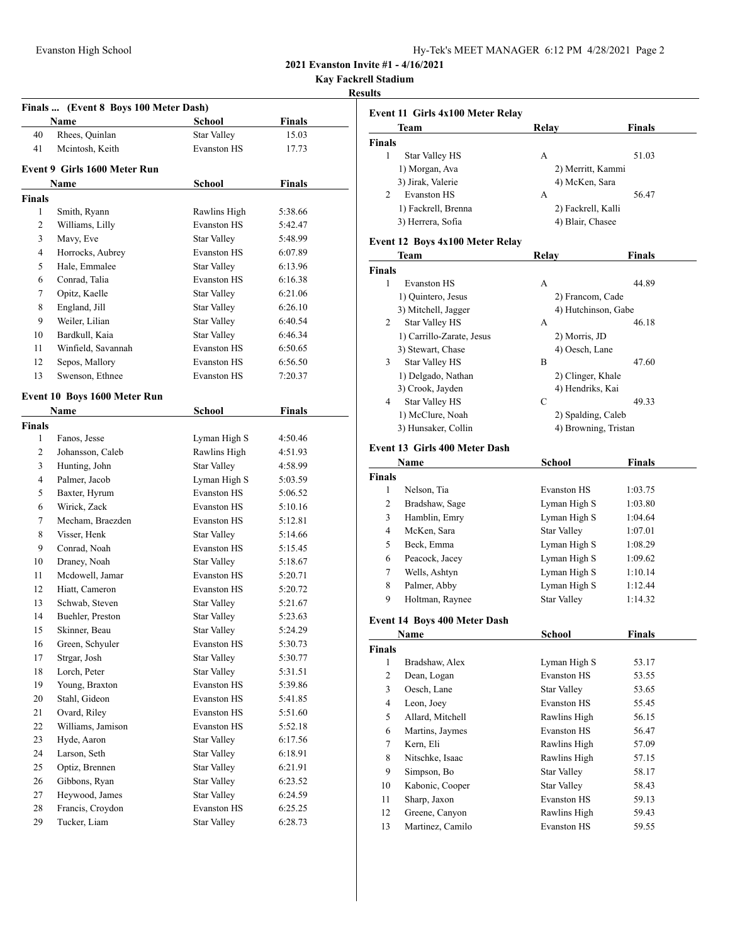**Kay Fackrell Stadium**

#### **Results**

| Finals  (Event 8 Boys 100 Meter Dash) |              |                              |                    |               |
|---------------------------------------|--------------|------------------------------|--------------------|---------------|
|                                       |              | Name                         | <b>School</b>      | <b>Finals</b> |
|                                       | 40           | Rhees, Quinlan               | <b>Star Valley</b> | 15.03         |
|                                       | 41           | Mcintosh, Keith              | <b>Evanston HS</b> | 17.73         |
|                                       |              | Event 9 Girls 1600 Meter Run |                    |               |
|                                       |              | Name                         | <b>School</b>      | <b>Finals</b> |
| <b>Finals</b>                         |              |                              |                    |               |
|                                       | 1            | Smith, Ryann                 | Rawlins High       | 5:38.66       |
|                                       | 2            | Williams, Lilly              | <b>Evanston HS</b> | 5:42.47       |
|                                       | 3            | Mavy, Eve                    | Star Valley        | 5:48.99       |
|                                       | 4            | Horrocks, Aubrey             | <b>Evanston HS</b> | 6:07.89       |
|                                       | 5            | Hale, Emmalee                | <b>Star Valley</b> | 6:13.96       |
|                                       | 6            | Conrad, Talia                | <b>Evanston HS</b> | 6:16.38       |
|                                       | 7            | Opitz, Kaelle                | Star Valley        | 6:21.06       |
|                                       | 8            | England, Jill                | <b>Star Valley</b> | 6:26.10       |
|                                       | 9            | Weiler, Lilian               | <b>Star Valley</b> | 6:40.54       |
|                                       | 10           | Bardkull, Kaia               | <b>Star Valley</b> | 6:46.34       |
|                                       | 11           | Winfield, Savannah           | <b>Evanston HS</b> | 6:50.65       |
|                                       | 12           | Sepos, Mallory               | <b>Evanston HS</b> | 6:56.50       |
|                                       | 13           | Swenson, Ethnee              | <b>Evanston HS</b> | 7:20.37       |
|                                       |              |                              |                    |               |
|                                       |              | Event 10 Boys 1600 Meter Run |                    |               |
|                                       |              | Name                         | School             | <b>Finals</b> |
| <b>Finals</b>                         |              |                              |                    |               |
|                                       | $\mathbf{1}$ | Fanos, Jesse                 | Lyman High S       | 4:50.46       |
|                                       | 2            | Johansson, Caleb             | Rawlins High       | 4:51.93       |
|                                       | 3            | Hunting, John                | <b>Star Valley</b> | 4:58.99       |
|                                       | 4            | Palmer, Jacob                | Lyman High S       | 5:03.59       |
|                                       | 5            | Baxter, Hyrum                | <b>Evanston HS</b> | 5:06.52       |
|                                       | 6            | Wirick, Zack                 | <b>Evanston HS</b> | 5:10.16       |
|                                       | 7            | Mecham, Braezden             | <b>Evanston HS</b> | 5:12.81       |
|                                       | 8            | Visser, Henk                 | <b>Star Valley</b> | 5:14.66       |
|                                       | 9            | Conrad, Noah                 | <b>Evanston HS</b> | 5:15.45       |
|                                       | 10           | Draney, Noah                 | Star Valley        | 5:18.67       |
|                                       | 11           | Mcdowell, Jamar              | <b>Evanston HS</b> | 5:20.71       |
|                                       | 12           | Hiatt, Cameron               | <b>Evanston HS</b> | 5:20.72       |
|                                       | 13           | Schwab, Steven               | Star Valley        | 5:21.67       |
|                                       | 14           | Buehler, Preston             | <b>Star Valley</b> | 5:23.63       |
|                                       | 15           | Skinner, Beau                | Star Valley        | 5:24.29       |
|                                       | 16           | Green, Schyuler              | <b>Evanston HS</b> | 5:30.73       |
|                                       | 17           | Strgar, Josh                 | <b>Star Valley</b> | 5:30.77       |
|                                       | 18           | Lorch, Peter                 | Star Valley        | 5:31.51       |
|                                       | 19           | Young, Braxton               | <b>Evanston HS</b> | 5:39.86       |
|                                       | 20           | Stahl, Gideon                | <b>Evanston HS</b> | 5:41.85       |
|                                       | 21           | Ovard, Riley                 | <b>Evanston HS</b> | 5:51.60       |
|                                       | 22           | Williams, Jamison            | Evanston HS        | 5:52.18       |
|                                       | 23           | Hyde, Aaron                  | <b>Star Valley</b> | 6:17.56       |
|                                       | 24           | Larson, Seth                 | Star Valley        | 6:18.91       |
|                                       | 25           | Optiz, Brennen               | <b>Star Valley</b> | 6:21.91       |
|                                       | 26           | Gibbons, Ryan                | Star Valley        | 6:23.52       |
|                                       | 27           | Heywood, James               | <b>Star Valley</b> | 6:24.59       |
|                                       | 28           | Francis, Croydon             | Evanston HS        | 6:25.25       |
|                                       | 29           | Tucker, Liam                 | <b>Star Valley</b> | 6:28.73       |

|                | Team                | Relav              | Finals |
|----------------|---------------------|--------------------|--------|
| <b>Finals</b>  |                     |                    |        |
| 1              | Star Valley HS      | А                  | 51.03  |
|                | 1) Morgan, Ava      | 2) Merritt, Kammi  |        |
|                | 3) Jirak, Valerie   | 4) McKen, Sara     |        |
| $\overline{c}$ | <b>Evanston HS</b>  | А                  | 56.47  |
|                | 1) Fackrell, Brenna | 2) Fackrell, Kalli |        |
|                | 3) Herrera, Sofia   | 4) Blair, Chasee   |        |

#### **Event 12 Boys 4x100 Meter Relay**

|        | <b>Team</b>                          | Relay                | Finals  |
|--------|--------------------------------------|----------------------|---------|
| Finals |                                      |                      |         |
| 1      | <b>Evanston HS</b>                   | A                    | 44.89   |
|        | 1) Quintero, Jesus                   | 2) Francom, Cade     |         |
|        | 3) Mitchell, Jagger                  | 4) Hutchinson, Gabe  |         |
| 2      | <b>Star Valley HS</b>                | А                    | 46.18   |
|        | 1) Carrillo-Zarate, Jesus            | 2) Morris, JD        |         |
|        | 3) Stewart, Chase                    | 4) Oesch, Lane       |         |
| 3      | <b>Star Valley HS</b>                | B                    | 47.60   |
|        | 1) Delgado, Nathan                   | 2) Clinger, Khale    |         |
|        | 3) Crook, Jayden                     | 4) Hendriks, Kai     |         |
| 4      | Star Valley HS                       | C                    | 49.33   |
|        | 1) McClure, Noah                     | 2) Spalding, Caleb   |         |
|        | 3) Hunsaker, Collin                  | 4) Browning, Tristan |         |
|        | <b>Event 13 Girls 400 Meter Dash</b> |                      |         |
|        | Name                                 | School               | Finals  |
| Finals |                                      |                      |         |
| 1      | Nelson, Tia                          | <b>Evanston HS</b>   | 1:03.75 |
| 2      | Bradshaw, Sage                       | Lyman High S         | 1:03.80 |
| 3      | Hamblin, Emry                        | Lyman High S         | 1:04.64 |
| 4      | McKen, Sara                          | <b>Star Valley</b>   | 1:07.01 |
| 5      | Beck, Emma                           | Lyman High S         | 1:08.29 |
| 6      | Peacock, Jacey                       | Lyman High S         | 1:09.62 |
| 7      | Wells, Ashtyn                        | Lyman High S         | 1:10.14 |
| 8      | Palmer, Abby                         | Lyman High S         | 1:12.44 |
| 9      | Holtman, Raynee                      | <b>Star Valley</b>   | 1:14.32 |
|        | Event 14 Boys 400 Meter Dash         |                      |         |
|        | Name                                 | School               | Finals  |
| Finals |                                      |                      |         |
| 1      | Bradshaw, Alex                       | Lyman High S         | 53.17   |
| 2      | Dean, Logan                          | <b>Evanston HS</b>   | 53.55   |
| 3      | Oesch, Lane                          | <b>Star Valley</b>   | 53.65   |
| 4      | Leon, Joey                           | <b>Evanston HS</b>   | 55.45   |
| 5      | Allard, Mitchell                     | Rawlins High         | 56.15   |
| 6      | Martins, Jaymes                      | <b>Evanston HS</b>   | 56.47   |
| 7      | Kern, Eli                            | Rawlins High         | 57.09   |
| 8      | Nitschke, Isaac                      | Rawlins High         | 57.15   |
| 9      | Simpson, Bo                          | <b>Star Valley</b>   | 58.17   |
| 10     | Kabonic, Cooper                      | <b>Star Valley</b>   | 58.43   |
| 11     | Sharp, Jaxon                         | <b>Evanston HS</b>   | 59.13   |
| 12     | Greene, Canyon                       | Rawlins High         | 59.43   |
| 13     | Martinez, Camilo                     | <b>Evanston HS</b>   | 59.55   |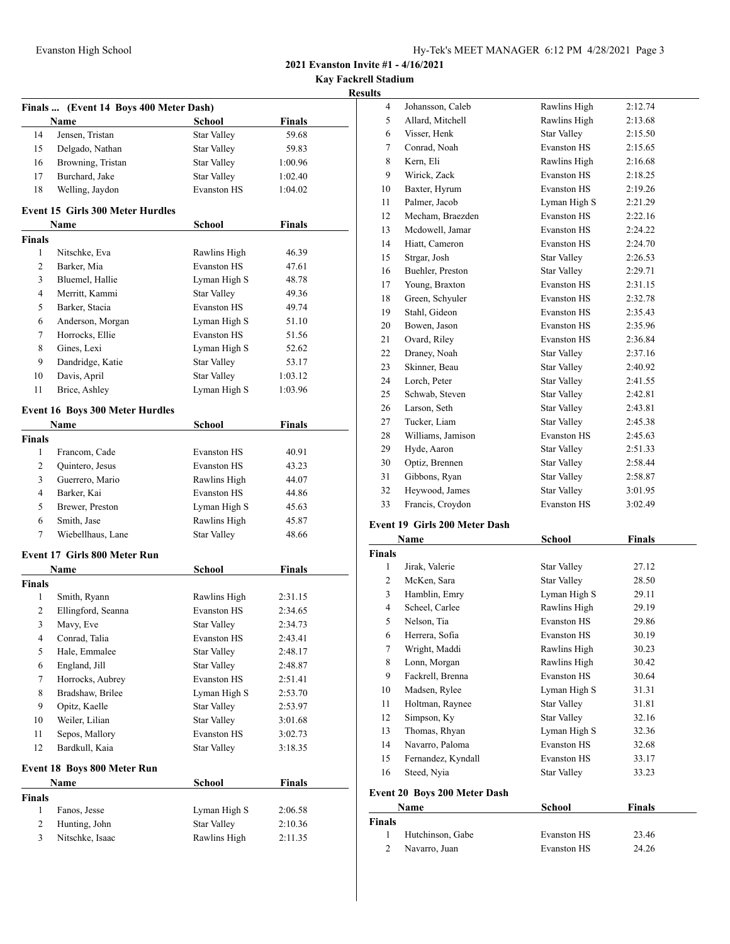**Kay Fackrell Stadium**

# **Results**

|                              | Finals  (Event 14 Boys 400 Meter Dash)  |                                    |                    |
|------------------------------|-----------------------------------------|------------------------------------|--------------------|
|                              | Name                                    | School                             | <b>Finals</b>      |
| 14                           | Jensen, Tristan                         | <b>Star Valley</b>                 | 59.68              |
| 15                           | Delgado, Nathan                         | <b>Star Valley</b>                 | 59.83              |
| 16                           | Browning, Tristan                       | <b>Star Valley</b>                 | 1:00.96            |
| 17                           | Burchard, Jake                          | Star Valley                        | 1:02.40            |
| 18                           | Welling, Jaydon                         | <b>Evanston HS</b>                 | 1:04.02            |
|                              | <b>Event 15 Girls 300 Meter Hurdles</b> |                                    |                    |
|                              | Name                                    | <b>School</b>                      | <b>Finals</b>      |
| <b>Finals</b>                |                                         |                                    |                    |
| 1                            | Nitschke, Eva                           | Rawlins High                       | 46.39              |
| $\overline{2}$               | Barker, Mia                             | <b>Evanston HS</b>                 | 47.61              |
| 3                            | Bluemel, Hallie                         | Lyman High S                       | 48.78              |
| $\overline{4}$               | Merritt, Kammi                          | <b>Star Valley</b>                 | 49.36              |
| 5                            | Barker, Stacia                          | <b>Evanston HS</b>                 | 49.74              |
| 6                            | Anderson, Morgan                        | Lyman High S                       | 51.10              |
| 7                            | Horrocks, Ellie                         | <b>Evanston HS</b>                 | 51.56              |
| 8                            | Gines, Lexi                             | Lyman High S                       | 52.62              |
| 9                            | Dandridge, Katie                        | <b>Star Valley</b>                 | 53.17              |
| 10                           | Davis, April                            | <b>Star Valley</b>                 | 1:03.12            |
| 11                           | Brice, Ashley                           | Lyman High S                       | 1:03.96            |
|                              | <b>Event 16 Boys 300 Meter Hurdles</b>  |                                    |                    |
|                              | Name                                    | <b>School</b>                      | <b>Finals</b>      |
| <b>Finals</b>                |                                         |                                    |                    |
| 1                            | Francom, Cade                           | <b>Evanston HS</b>                 | 40.91              |
| $\overline{2}$               | Quintero, Jesus                         | <b>Evanston HS</b>                 | 43.23              |
| 3                            | Guerrero, Mario                         | Rawlins High                       | 44.07              |
| 4                            | Barker, Kai                             | <b>Evanston HS</b>                 | 44.86              |
| 5                            | Brewer, Preston                         | Lyman High S                       | 45.63              |
| 6                            | Smith, Jase                             | Rawlins High                       | 45.87              |
| 7                            | Wiebellhaus, Lane                       | <b>Star Valley</b>                 | 48.66              |
|                              | <b>Event 17 Girls 800 Meter Run</b>     |                                    |                    |
|                              | Name                                    | School                             | <b>Finals</b>      |
| <b>Finals</b>                |                                         |                                    |                    |
| 1                            | Smith, Ryann                            | Rawlins High<br><b>Evanston HS</b> | 2:31.15            |
| 2                            | Ellingford, Seanna                      |                                    | 2:34.65            |
| 3                            | Mavy, Eve                               | <b>Star Valley</b>                 | 2:34.73            |
| $\overline{\mathbf{4}}$<br>5 | Conrad, Talia<br>Hale, Emmalee          | Evanston HS<br><b>Star Valley</b>  | 2:43.41<br>2:48.17 |
| 6                            | England, Jill                           | <b>Star Valley</b>                 | 2:48.87            |
| $\tau$                       | Horrocks, Aubrey                        | Evanston HS                        | 2:51.41            |
| 8                            | Bradshaw, Brilee                        | Lyman High S                       |                    |
| 9                            | Opitz, Kaelle                           | Star Valley                        | 2:53.70<br>2:53.97 |
| 10                           | Weiler, Lilian                          | Star Valley                        | 3:01.68            |
| 11                           | Sepos, Mallory                          | Evanston HS                        | 3:02.73            |
| 12                           | Bardkull, Kaia                          | <b>Star Valley</b>                 | 3:18.35            |
|                              |                                         |                                    |                    |
|                              | Event 18 Boys 800 Meter Run<br>Name     | School                             | <b>Finals</b>      |
| <b>Finals</b>                |                                         |                                    |                    |
| 1                            | Fanos, Jesse                            | Lyman High S                       | 2:06.58            |
| $\overline{c}$               | Hunting, John                           | Star Valley                        | 2:10.36            |
| 3                            | Nitschke, Isaac                         | Rawlins High                       | 2:11.35            |
|                              |                                         |                                    |                    |

| 4  | Johansson, Caleb  | Rawlins High       | 2:12.74 |
|----|-------------------|--------------------|---------|
| 5  | Allard, Mitchell  | Rawlins High       | 2:13.68 |
| 6  | Visser, Henk      | <b>Star Valley</b> | 2:15.50 |
| 7  | Conrad, Noah      | <b>Evanston HS</b> | 2:15.65 |
| 8  | Kern, Eli         | Rawlins High       | 2:16.68 |
| 9  | Wirick, Zack      | <b>Evanston HS</b> | 2:18.25 |
| 10 | Baxter, Hyrum     | <b>Evanston HS</b> | 2:19.26 |
| 11 | Palmer, Jacob     | Lyman High S       | 2:21.29 |
| 12 | Mecham, Braezden  | <b>Evanston HS</b> | 2:22.16 |
| 13 | Mcdowell, Jamar   | <b>Evanston HS</b> | 2:24.22 |
| 14 | Hiatt, Cameron    | <b>Evanston HS</b> | 2:24.70 |
| 15 | Strgar, Josh      | <b>Star Valley</b> | 2:26.53 |
| 16 | Buehler, Preston  | Star Valley        | 2:29.71 |
| 17 | Young, Braxton    | <b>Evanston HS</b> | 2:31.15 |
| 18 | Green, Schyuler   | <b>Evanston HS</b> | 2:32.78 |
| 19 | Stahl, Gideon     | <b>Evanston HS</b> | 2:35.43 |
| 20 | Bowen, Jason      | <b>Evanston HS</b> | 2:35.96 |
| 21 | Ovard, Riley      | <b>Evanston HS</b> | 2:36.84 |
| 22 | Draney, Noah      | <b>Star Valley</b> | 2:37.16 |
| 23 | Skinner, Beau     | Star Valley        | 2:40.92 |
| 24 | Lorch, Peter      | <b>Star Valley</b> | 2:41.55 |
| 25 | Schwab, Steven    | <b>Star Valley</b> | 2:42.81 |
| 26 | Larson, Seth      | <b>Star Valley</b> | 2:43.81 |
| 27 | Tucker, Liam      | <b>Star Valley</b> | 2:45.38 |
| 28 | Williams, Jamison | <b>Evanston HS</b> | 2:45.63 |
| 29 | Hyde, Aaron       | Star Valley        | 2:51.33 |
| 30 | Optiz, Brennen    | <b>Star Valley</b> | 2:58.44 |
| 31 | Gibbons, Ryan     | Star Valley        | 2:58.87 |
| 32 | Heywood, James    | <b>Star Valley</b> | 3:01.95 |
| 33 | Francis, Croydon  | <b>Evanston HS</b> | 3:02.49 |
|    |                   |                    |         |

#### **Event 19 Girls 200 Meter Dash**

|                | Name               | School             | <b>Finals</b> |
|----------------|--------------------|--------------------|---------------|
| <b>Finals</b>  |                    |                    |               |
| 1              | Jirak, Valerie     | <b>Star Valley</b> | 27.12         |
| $\overline{c}$ | McKen, Sara        | <b>Star Valley</b> | 28.50         |
| 3              | Hamblin, Emry      | Lyman High S       | 29.11         |
| 4              | Scheel, Carlee     | Rawlins High       | 29.19         |
| 5              | Nelson, Tia        | <b>Evanston HS</b> | 29.86         |
| 6              | Herrera, Sofia     | <b>Evanston HS</b> | 30.19         |
| 7              | Wright, Maddi      | Rawlins High       | 30.23         |
| 8              | Lonn, Morgan       | Rawlins High       | 30.42         |
| 9              | Fackrell, Brenna   | <b>Evanston HS</b> | 30.64         |
| 10             | Madsen, Rylee      | Lyman High S       | 31.31         |
| 11             | Holtman, Raynee    | <b>Star Valley</b> | 31.81         |
| 12             | Simpson, Ky        | <b>Star Valley</b> | 32.16         |
| 13             | Thomas, Rhyan      | Lyman High S       | 32.36         |
| 14             | Navarro, Paloma    | <b>Evanston HS</b> | 32.68         |
| 15             | Fernandez, Kyndall | <b>Evanston HS</b> | 33.17         |
| 16             | Steed, Nyia        | Star Valley        | 33.23         |

# **Event 20 Boys 200 Meter Dash**

|        | Name             | School             | <b>Finals</b> |  |
|--------|------------------|--------------------|---------------|--|
| Finals |                  |                    |               |  |
|        | Hutchinson, Gabe | Evanston HS        | 23.46         |  |
| 2      | Navarro, Juan    | <b>Evanston HS</b> | 24.26         |  |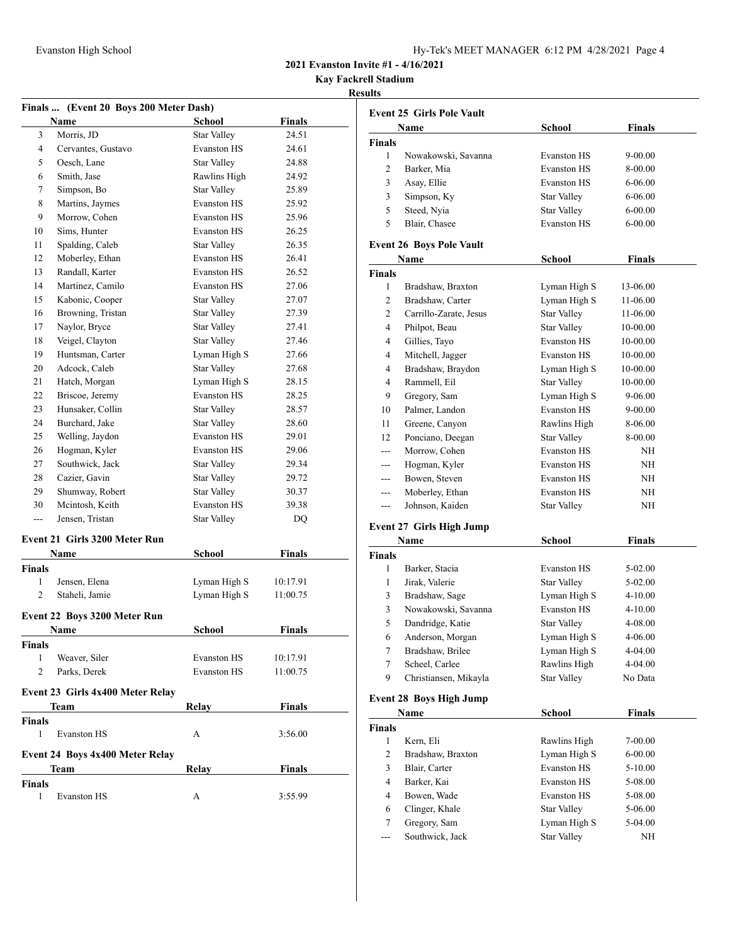| Hy-Tek's MEET MANAGER $6:12$ PM $4/28/2021$ Page 4 |  |  |  |
|----------------------------------------------------|--|--|--|
|----------------------------------------------------|--|--|--|

**Kay Fackrell Stadium**

#### **Results**

|                | Finals  (Event 20 Boys 200 Meter Dash) |                    |               |
|----------------|----------------------------------------|--------------------|---------------|
|                | Name                                   | School             | Finals        |
| 3              | Morris, JD                             | <b>Star Valley</b> | 24.51         |
| 4              | Cervantes, Gustavo                     | <b>Evanston HS</b> | 24.61         |
| 5              | Oesch, Lane                            | <b>Star Valley</b> | 24.88         |
| 6              | Smith, Jase                            | Rawlins High       | 24.92         |
| 7              | Simpson, Bo                            | <b>Star Valley</b> | 25.89         |
| 8              | Martins, Jaymes                        | <b>Evanston HS</b> | 25.92         |
| 9              | Morrow, Cohen                          | <b>Evanston HS</b> | 25.96         |
| 10             | Sims, Hunter                           | <b>Evanston HS</b> | 26.25         |
| 11             | Spalding, Caleb                        | <b>Star Valley</b> | 26.35         |
| 12             | Moberley, Ethan                        | <b>Evanston HS</b> | 26.41         |
| 13             | Randall, Karter                        | <b>Evanston HS</b> | 26.52         |
| 14             | Martinez, Camilo                       | <b>Evanston HS</b> | 27.06         |
| 15             | Kabonic, Cooper                        | <b>Star Valley</b> | 27.07         |
| 16             | Browning, Tristan                      | Star Valley        | 27.39         |
| 17             | Naylor, Bryce                          | <b>Star Valley</b> | 27.41         |
| 18             | Veigel, Clayton                        | Star Valley        | 27.46         |
| 19             | Huntsman, Carter                       | Lyman High S       | 27.66         |
| 20             | Adcock, Caleb                          | <b>Star Valley</b> | 27.68         |
| 21             | Hatch, Morgan                          | Lyman High S       | 28.15         |
| 22             | Briscoe, Jeremy                        | <b>Evanston HS</b> | 28.25         |
| 23             | Hunsaker, Collin                       | <b>Star Valley</b> | 28.57         |
| 24             | Burchard, Jake                         | Star Valley        | 28.60         |
| 25             | Welling, Jaydon                        | <b>Evanston HS</b> | 29.01         |
| 26             | Hogman, Kyler                          | <b>Evanston HS</b> | 29.06         |
| 27             | Southwick, Jack                        | Star Valley        | 29.34         |
| 28             | Cazier, Gavin                          | <b>Star Valley</b> | 29.72         |
| 29             | Shumway, Robert                        | Star Valley        | 30.37         |
| 30             | Mcintosh, Keith                        | <b>Evanston HS</b> | 39.38         |
| ---            | Jensen, Tristan                        | Star Valley        | DQ            |
|                | <b>Event 21 Girls 3200 Meter Run</b>   |                    |               |
|                | Name                                   | School             | <b>Finals</b> |
| <b>Finals</b>  |                                        |                    |               |
| 1              | Jensen, Elena                          | Lyman High S       | 10:17.91      |
| 2              | Staheli, Jamie                         | Lyman High S       | 11:00.75      |
|                | Event 22 Boys 3200 Meter Run           |                    |               |
|                | Name                                   | School             | Finals        |
| <b>Finals</b>  |                                        |                    |               |
| 1              | Weaver, Siler                          | <b>Evanston HS</b> | 10:17.91      |
| $\overline{c}$ | Parks, Derek                           | <b>Evanston HS</b> | 11:00.75      |
|                | Event 23 Girls 4x400 Meter Relay       |                    |               |
|                | Team                                   | Relay              | <b>Finals</b> |
| <b>Finals</b>  |                                        |                    |               |
| 1              | <b>Evanston HS</b>                     | A                  | 3:56.00       |
|                | Event 24 Boys 4x400 Meter Relay        |                    |               |
|                | Team                                   | Relay              | <b>Finals</b> |
| <b>Finals</b>  |                                        |                    |               |
| 1              | <b>Evanston HS</b>                     | А                  | 3:55.99       |

|               | Name                | School             | <b>Finals</b> |
|---------------|---------------------|--------------------|---------------|
| <b>Finals</b> |                     |                    |               |
|               | Nowakowski, Savanna | <b>Evanston HS</b> | $9 - 00.00$   |
| 2             | Barker, Mia         | <b>Evanston HS</b> | 8-00.00       |
| 3             | Asay, Ellie         | <b>Evanston HS</b> | $6 - 06.00$   |
| 3             | Simpson, Ky         | Star Valley        | $6 - 06.00$   |
| 5             | Steed, Nyia         | Star Valley        | $6 - 00.00$   |
| 5             | Blair, Chasee       | <b>Evanston HS</b> | $6 - 00.00$   |

# **Event 26 Boys Pole Vault**

| Name                   | School             | <b>Finals</b> |
|------------------------|--------------------|---------------|
|                        |                    |               |
| Bradshaw, Braxton      | Lyman High S       | 13-06.00      |
| Bradshaw, Carter       | Lyman High S       | 11-06.00      |
| Carrillo-Zarate, Jesus | Star Valley        | 11-06.00      |
| Philpot, Beau          | <b>Star Valley</b> | 10-00.00      |
| Gillies, Tayo          | <b>Evanston HS</b> | 10-00.00      |
| Mitchell, Jagger       | <b>Evanston HS</b> | 10-00.00      |
| Bradshaw, Braydon      | Lyman High S       | 10-00.00      |
| Rammell, Eil           | <b>Star Valley</b> | 10-00.00      |
| Gregory, Sam           | Lyman High S       | 9-06.00       |
| Palmer, Landon         | <b>Evanston HS</b> | 9-00.00       |
| Greene, Canyon         | Rawlins High       | 8-06.00       |
| Ponciano, Deegan       | <b>Star Valley</b> | 8-00.00       |
| Morrow, Cohen          | <b>Evanston HS</b> | ΝH            |
| Hogman, Kyler          | <b>Evanston HS</b> | NH            |
| Bowen, Steven          | <b>Evanston HS</b> | NH            |
| Moberley, Ethan        | <b>Evanston HS</b> | NH            |
| Johnson, Kaiden        | Star Valley        | NH            |
|                        |                    |               |

#### **Event 27 Girls High Jump**

| Name          |                       | School             | <b>Finals</b> |
|---------------|-----------------------|--------------------|---------------|
| <b>Finals</b> |                       |                    |               |
| 1             | Barker, Stacia        | <b>Evanston HS</b> | $5-02.00$     |
| 1             | Jirak, Valerie        | <b>Star Valley</b> | $5-02.00$     |
| 3             | Bradshaw, Sage        | Lyman High S       | $4 - 10.00$   |
| 3             | Nowakowski, Savanna   | <b>Evanston HS</b> | $4 - 10.00$   |
| 5             | Dandridge, Katie      | Star Valley        | 4-08.00       |
| 6             | Anderson, Morgan      | Lyman High S       | 4-06.00       |
| 7             | Bradshaw, Brilee      | Lyman High S       | $4 - 04.00$   |
| 7             | Scheel, Carlee        | Rawlins High       | $4 - 04.00$   |
| 9             | Christiansen, Mikayla | <b>Star Valley</b> | No Data       |
|               |                       |                    |               |

# **Event 28 Boys High Jump**

| Name          |                   | School             | Finals      |  |
|---------------|-------------------|--------------------|-------------|--|
| <b>Finals</b> |                   |                    |             |  |
| 1             | Kern, Eli         | Rawlins High       | $7 - 00.00$ |  |
| 2             | Bradshaw, Braxton | Lyman High S       | $6 - 00.00$ |  |
| 3             | Blair, Carter     | <b>Evanston HS</b> | $5 - 10.00$ |  |
| 4             | Barker, Kai       | <b>Evanston HS</b> | 5-08.00     |  |
| 4             | Bowen, Wade       | <b>Evanston HS</b> | 5-08.00     |  |
| 6             | Clinger, Khale    | Star Valley        | 5-06.00     |  |
| 7             | Gregory, Sam      | Lyman High S       | 5-04.00     |  |
|               | Southwick, Jack   | <b>Star Valley</b> | NΗ          |  |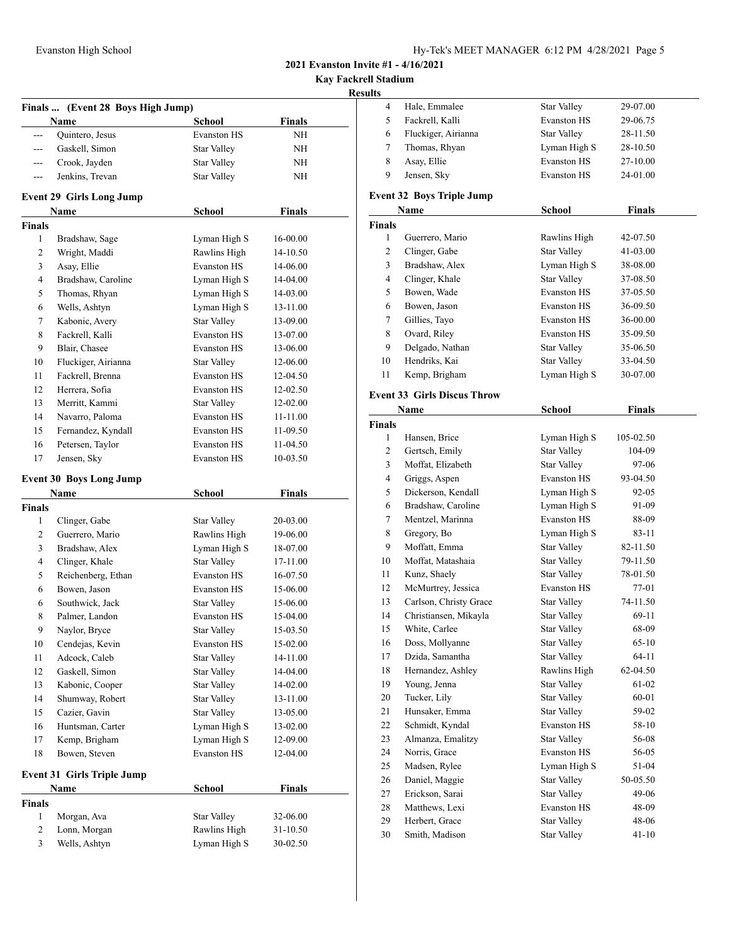| Hy-Tek's MEET MANAGER 6:12 PM 4/28/2021 Page 5 |  |  |  |
|------------------------------------------------|--|--|--|
|------------------------------------------------|--|--|--|

**Kay Fackrell Stadium**

## **Results**

|                | Finals  (Event 28 Boys High Jump) |                    |               |
|----------------|-----------------------------------|--------------------|---------------|
|                | Name                              | <b>School</b>      | <b>Finals</b> |
| $\overline{a}$ | Quintero, Jesus                   | <b>Evanston HS</b> | NΗ            |
| ---            | Gaskell, Simon                    | Star Valley        | NΗ            |
| ---            | Crook, Jayden                     | <b>Star Valley</b> | NΗ            |
| ---            | Jenkins, Trevan                   | <b>Star Valley</b> | NΗ            |
|                | <b>Event 29 Girls Long Jump</b>   |                    |               |
|                | Name                              | School             | <b>Finals</b> |
| <b>Finals</b>  |                                   |                    |               |
| 1              | Bradshaw, Sage                    | Lyman High S       | 16-00.00      |
| $\overline{c}$ | Wright, Maddi                     | Rawlins High       | 14-10.50      |
| 3              | Asay, Ellie                       | <b>Evanston HS</b> | 14-06.00      |
| 4              | Bradshaw, Caroline                | Lyman High S       | 14-04.00      |
| 5              | Thomas, Rhyan                     | Lyman High S       | 14-03.00      |
| 6              | Wells, Ashtyn                     | Lyman High S       | 13-11.00      |
| 7              | Kabonic, Avery                    | <b>Star Valley</b> | 13-09.00      |
| 8              | Fackrell, Kalli                   | <b>Evanston HS</b> | 13-07.00      |
| 9              | Blair, Chasee                     | <b>Evanston HS</b> | 13-06.00      |
| 10             | Fluckiger, Airianna               | Star Valley        | 12-06.00      |
| 11             | Fackrell, Brenna                  | <b>Evanston HS</b> | 12-04.50      |
| 12             | Herrera, Sofia                    | <b>Evanston HS</b> | 12-02.50      |
| 13             | Merritt, Kammi                    | Star Valley        | 12-02.00      |
| 14             | Navarro, Paloma                   | <b>Evanston HS</b> | 11-11.00      |
| 15             | Fernandez, Kyndall                | <b>Evanston HS</b> | 11-09.50      |
| 16             | Petersen, Taylor                  | <b>Evanston HS</b> | 11-04.50      |
| 17             | Jensen, Sky                       | <b>Evanston HS</b> | 10-03.50      |
|                | <b>Event 30 Boys Long Jump</b>    |                    |               |
|                | Name                              | School             | <b>Finals</b> |
| <b>Finals</b>  |                                   |                    |               |
| 1              | Clinger, Gabe                     | Star Valley        | 20-03.00      |
| 2              | Guerrero, Mario                   | Rawlins High       | 19-06.00      |
| 3              | Bradshaw, Alex                    | Lyman High S       | 18-07.00      |
| 4              | Clinger, Khale                    | <b>Star Valley</b> | 17-11.00      |
| 5              | Reichenberg, Ethan                | <b>Evanston HS</b> | 16-07.50      |
| 6              | Bowen, Jason                      | <b>Evanston HS</b> | 15-06.00      |
| 6              | Southwick, Jack                   | <b>Star Valley</b> | 15-06.00      |
| 8              | Palmer, Landon                    | <b>Evanston HS</b> | 15-04.00      |
| 9              | Naylor, Bryce                     | Star Valley        | 15-03.50      |
| 10             | Cendejas, Kevin                   | <b>Evanston HS</b> | 15-02.00      |
| 11             | Adcock, Caleb                     | <b>Star Valley</b> | 14-11.00      |
| 12             | Gaskell, Simon                    | Star Valley        | 14-04.00      |
| 13             | Kabonic, Cooper                   | Star Valley        | 14-02.00      |
| 14             | Shumway, Robert                   | <b>Star Valley</b> | 13-11.00      |
| 15             | Cazier, Gavin                     | Star Valley        | 13-05.00      |
| 16             | Huntsman, Carter                  | Lyman High S       | 13-02.00      |
| 17             | Kemp, Brigham                     | Lyman High S       | 12-09.00      |
| 18             | Bowen, Steven                     | <b>Evanston HS</b> | 12-04.00      |
|                | <b>Event 31 Girls Triple Jump</b> |                    |               |
|                | Name                              | School             | <b>Finals</b> |
| <b>Finals</b>  |                                   |                    |               |
| 1              | Morgan, Ava                       | Star Valley        | 32-06.00      |
| 2              | Lonn, Morgan                      | Rawlins High       | 31-10.50      |
| 3              | Wells, Ashtyn                     | Lyman High S       | 30-02.50      |

| ,uns           |                                    |                    |               |  |
|----------------|------------------------------------|--------------------|---------------|--|
| 4              | Hale, Emmalee                      | <b>Star Valley</b> | 29-07.00      |  |
| 5              | Fackrell, Kalli                    | <b>Evanston HS</b> | 29-06.75      |  |
| 6              | Fluckiger, Airianna                | Star Valley        | 28-11.50      |  |
| 7              | Thomas, Rhyan                      | Lyman High S       | 28-10.50      |  |
| 8              | Asay, Ellie                        | <b>Evanston HS</b> | 27-10.00      |  |
| 9              | Jensen, Sky                        | <b>Evanston HS</b> | 24-01.00      |  |
|                |                                    |                    |               |  |
|                | <b>Event 32 Boys Triple Jump</b>   |                    |               |  |
|                | Name                               | <b>School</b>      | <b>Finals</b> |  |
| <b>Finals</b>  |                                    |                    |               |  |
| 1              | Guerrero, Mario                    | Rawlins High       | 42-07.50      |  |
| $\overline{c}$ | Clinger, Gabe                      | <b>Star Valley</b> | 41-03.00      |  |
| 3              | Bradshaw, Alex                     | Lyman High S       | 38-08.00      |  |
| 4              | Clinger, Khale                     | <b>Star Valley</b> | 37-08.50      |  |
| 5              | Bowen, Wade                        | <b>Evanston HS</b> | 37-05.50      |  |
| 6              | Bowen, Jason                       | <b>Evanston HS</b> | 36-09.50      |  |
| 7              | Gillies, Tayo                      | <b>Evanston HS</b> | 36-00.00      |  |
| 8              | Ovard, Riley                       | <b>Evanston HS</b> | 35-09.50      |  |
| 9              | Delgado, Nathan                    | <b>Star Valley</b> | 35-06.50      |  |
| 10             | Hendriks, Kai                      | <b>Star Valley</b> | 33-04.50      |  |
| 11             | Kemp, Brigham                      | Lyman High S       | 30-07.00      |  |
|                | <b>Event 33 Girls Discus Throw</b> |                    |               |  |
|                | Name                               | <b>School</b>      | <b>Finals</b> |  |
| <b>Finals</b>  |                                    |                    |               |  |
| 1              | Hansen, Brice                      | Lyman High S       | 105-02.50     |  |
| 2              | Gertsch, Emily                     | <b>Star Valley</b> | 104-09        |  |
| 3              | Moffat, Elizabeth                  | <b>Star Valley</b> | 97-06         |  |
| 4              | Griggs, Aspen                      | <b>Evanston HS</b> | 93-04.50      |  |
| 5              | Dickerson, Kendall                 | Lyman High S       | 92-05         |  |
| 6              | Bradshaw, Caroline                 | Lyman High S       | 91-09         |  |
| 7              | Mentzel, Marinna                   | <b>Evanston HS</b> | 88-09         |  |
| 8              | Gregory, Bo                        | Lyman High S       | 83-11         |  |
| 9              | Moffatt, Emma                      | <b>Star Valley</b> | 82-11.50      |  |
| 10             | Moffat, Matashaia                  | <b>Star Valley</b> | 79-11.50      |  |
| 11             | Kunz, Shaely                       | <b>Star Valley</b> | 78-01.50      |  |
| 12             | McMurtrey, Jessica                 | <b>Evanston HS</b> | 77-01         |  |
| 13             | Carlson, Christy Grace             | Star Valley        | 74-11.50      |  |
| 14             | Christiansen, Mikayla              | <b>Star Valley</b> | 69-11         |  |
| 15             | White, Carlee                      | Star Valley        | 68-09         |  |
| 16             | Doss, Mollyanne                    | <b>Star Valley</b> | $65 - 10$     |  |
| 17             | Dzida, Samantha                    | <b>Star Valley</b> | $64 - 11$     |  |
| 18             | Hernandez, Ashley                  | Rawlins High       | 62-04.50      |  |
| 19             | Young, Jenna                       | <b>Star Valley</b> | 61-02         |  |
| 20             | Tucker, Lily                       | <b>Star Valley</b> | 60-01         |  |
| 21             | Hunsaker, Emma                     | <b>Star Valley</b> | 59-02         |  |
| 22             | Schmidt, Kyndal                    | <b>Evanston HS</b> | 58-10         |  |
| 23             | Almanza, Emalitzy                  | <b>Star Valley</b> | 56-08         |  |
| 24             | Norris, Grace                      | <b>Evanston HS</b> | 56-05         |  |
| 25             | Madsen, Rylee                      | Lyman High S       | 51-04         |  |
| 26             | Daniel, Maggie                     | <b>Star Valley</b> | 50-05.50      |  |
| 27             | Erickson, Sarai                    | <b>Star Valley</b> | 49-06         |  |
| 28             | Matthews, Lexi                     | <b>Evanston HS</b> | 48-09         |  |
| 29             | Herbert, Grace                     | <b>Star Valley</b> | 48-06         |  |
| 30             | Smith, Madison                     | <b>Star Valley</b> | 41-10         |  |
|                |                                    |                    |               |  |